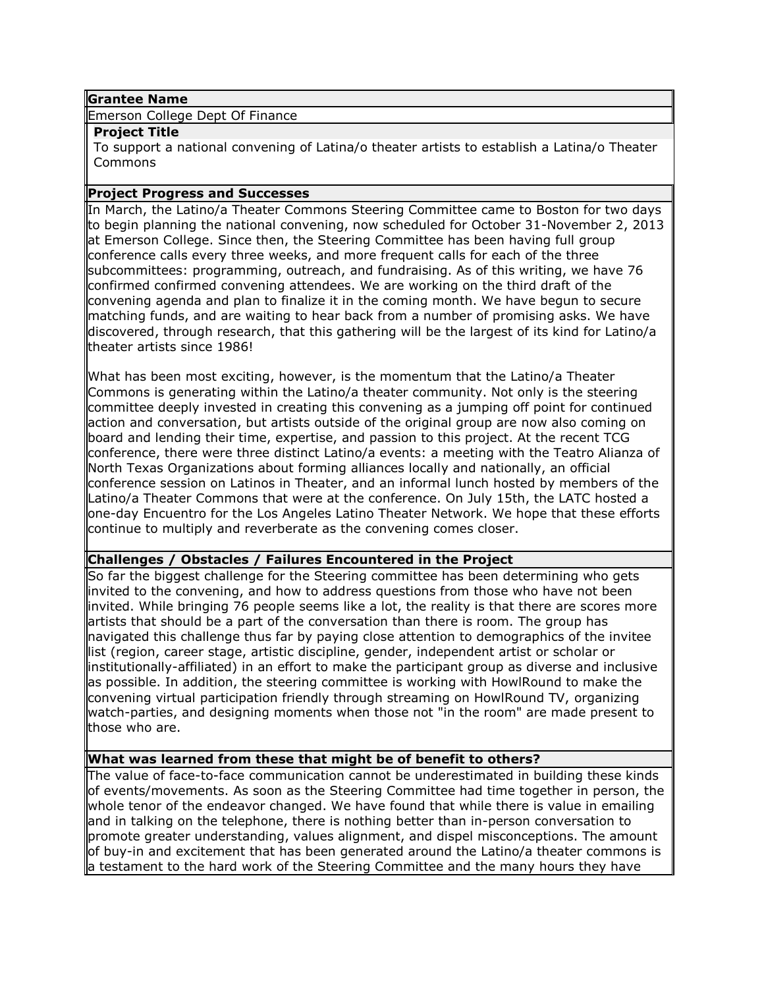### **Grantee Name**

Emerson College Dept Of Finance

#### **Project Title**

To support a national convening of Latina/o theater artists to establish a Latina/o Theater Commons

### **Project Progress and Successes**

In March, the Latino/a Theater Commons Steering Committee came to Boston for two days to begin planning the national convening, now scheduled for October 31-November 2, 2013 at Emerson College. Since then, the Steering Committee has been having full group conference calls every three weeks, and more frequent calls for each of the three subcommittees: programming, outreach, and fundraising. As of this writing, we have 76 confirmed confirmed convening attendees. We are working on the third draft of the convening agenda and plan to finalize it in the coming month. We have begun to secure matching funds, and are waiting to hear back from a number of promising asks. We have discovered, through research, that this gathering will be the largest of its kind for Latino/a theater artists since 1986!

What has been most exciting, however, is the momentum that the Latino/a Theater Commons is generating within the Latino/a theater community. Not only is the steering committee deeply invested in creating this convening as a jumping off point for continued action and conversation, but artists outside of the original group are now also coming on board and lending their time, expertise, and passion to this project. At the recent TCG conference, there were three distinct Latino/a events: a meeting with the Teatro Alianza of North Texas Organizations about forming alliances locally and nationally, an official conference session on Latinos in Theater, and an informal lunch hosted by members of the Latino/a Theater Commons that were at the conference. On July 15th, the LATC hosted a one-day Encuentro for the Los Angeles Latino Theater Network. We hope that these efforts continue to multiply and reverberate as the convening comes closer.

### **Challenges / Obstacles / Failures Encountered in the Project**

So far the biggest challenge for the Steering committee has been determining who gets invited to the convening, and how to address questions from those who have not been invited. While bringing 76 people seems like a lot, the reality is that there are scores more artists that should be a part of the conversation than there is room. The group has navigated this challenge thus far by paying close attention to demographics of the invitee list (region, career stage, artistic discipline, gender, independent artist or scholar or institutionally-affiliated) in an effort to make the participant group as diverse and inclusive as possible. In addition, the steering committee is working with HowlRound to make the convening virtual participation friendly through streaming on HowlRound TV, organizing watch-parties, and designing moments when those not "in the room" are made present to those who are.

### **What was learned from these that might be of benefit to others?**

The value of face-to-face communication cannot be underestimated in building these kinds of events/movements. As soon as the Steering Committee had time together in person, the whole tenor of the endeavor changed. We have found that while there is value in emailing and in talking on the telephone, there is nothing better than in-person conversation to promote greater understanding, values alignment, and dispel misconceptions. The amount of buy-in and excitement that has been generated around the Latino/a theater commons is a testament to the hard work of the Steering Committee and the many hours they have